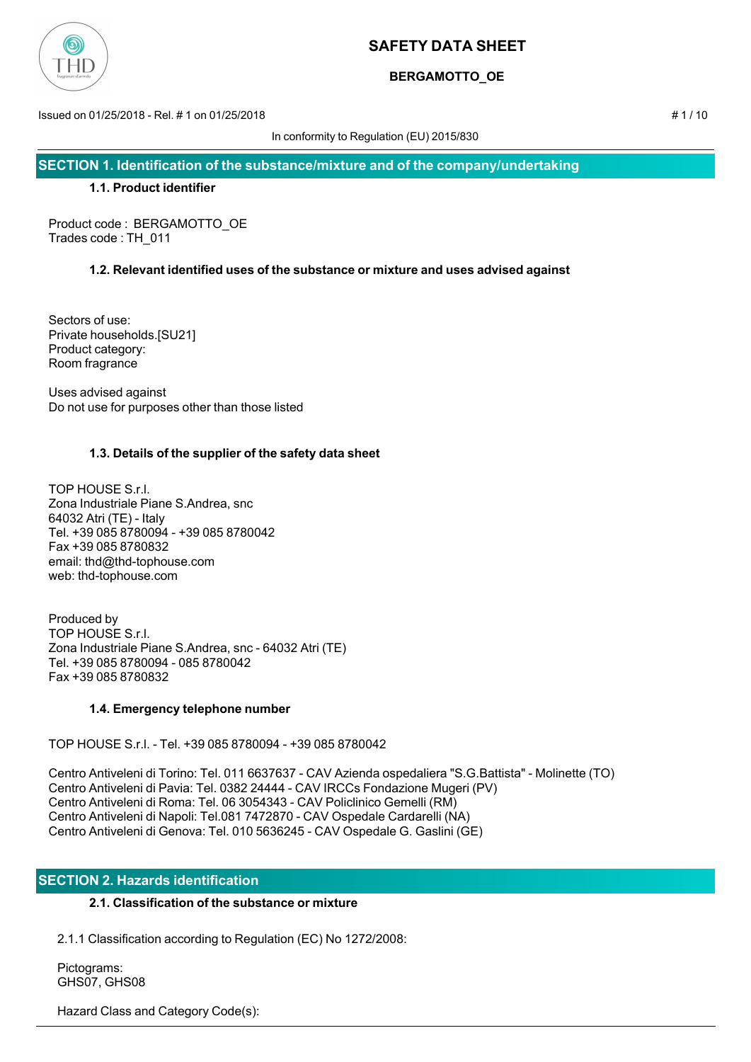

# **BERGAMOTTO\_OE**

Issued on 01/25/2018 - Rel. # 1 on 01/25/2018 # 1 / 10

In conformity to Regulation (EU) 2015/830

**SECTION 1. Identification of the substance/mixture and of the company/undertaking**

# **1.1. Product identifier**

Product code : BERGAMOTTO\_OE Trades code : TH\_011

# **1.2. Relevant identified uses of the substance or mixture and uses advised against**

Sectors of use: Private households.[SU21] Product category: Room fragrance

Uses advised against Do not use for purposes other than those listed

# **1.3. Details of the supplier of the safety data sheet**

TOP HOUSE S.r.l. Zona Industriale Piane S.Andrea, snc 64032 Atri (TE) - Italy Tel. +39 085 8780094 - +39 085 8780042 Fax +39 085 8780832 email: thd@thd-tophouse.com web: thd-tophouse.com

Produced by TOP HOUSE S.r.l. Zona Industriale Piane S.Andrea, snc - 64032 Atri (TE) Tel. +39 085 8780094 - 085 8780042 Fax +39 085 8780832

# **1.4. Emergency telephone number**

TOP HOUSE S.r.l. - Tel. +39 085 8780094 - +39 085 8780042

Centro Antiveleni di Torino: Tel. 011 6637637 - CAV Azienda ospedaliera "S.G.Battista" - Molinette (TO) Centro Antiveleni di Pavia: Tel. 0382 24444 - CAV IRCCs Fondazione Mugeri (PV) Centro Antiveleni di Roma: Tel. 06 3054343 - CAV Policlinico Gemelli (RM) Centro Antiveleni di Napoli: Tel.081 7472870 - CAV Ospedale Cardarelli (NA) Centro Antiveleni di Genova: Tel. 010 5636245 - CAV Ospedale G. Gaslini (GE)

# **SECTION 2. Hazards identification**

# **2.1. Classification of the substance or mixture**

2.1.1 Classification according to Regulation (EC) No 1272/2008:

 Pictograms: GHS07, GHS08

Hazard Class and Category Code(s):

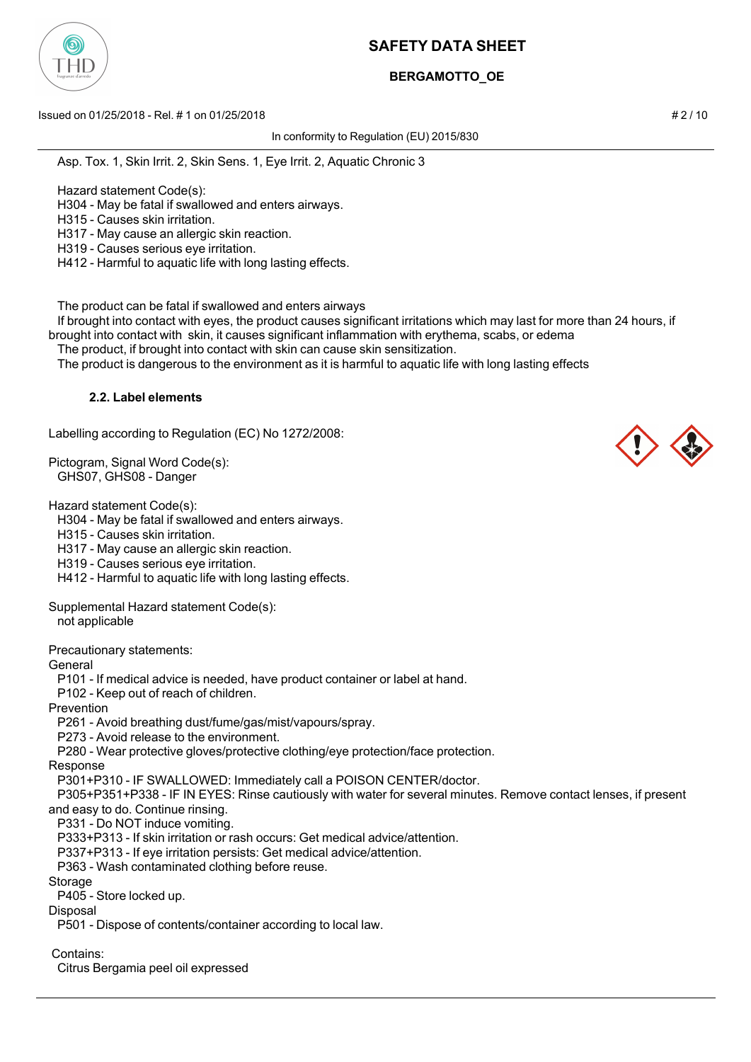

# **BERGAMOTTO\_OE**

Issued on 01/25/2018 - Rel. # 1 on 01/25/2018 # 2 / 10

In conformity to Regulation (EU) 2015/830

Asp. Tox. 1, Skin Irrit. 2, Skin Sens. 1, Eye Irrit. 2, Aquatic Chronic 3

Hazard statement Code(s):

H304 - May be fatal if swallowed and enters airways.

H315 - Causes skin irritation.

H317 - May cause an allergic skin reaction.

H319 - Causes serious eye irritation.

H412 - Harmful to aquatic life with long lasting effects.

The product can be fatal if swallowed and enters airways

 If brought into contact with eyes, the product causes significant irritations which may last for more than 24 hours, if brought into contact with skin, it causes significant inflammation with erythema, scabs, or edema

The product, if brought into contact with skin can cause skin sensitization.

The product is dangerous to the environment as it is harmful to aquatic life with long lasting effects

#### **2.2. Label elements**

Labelling according to Regulation (EC) No 1272/2008:

Pictogram, Signal Word Code(s): GHS07, GHS08 - Danger

Hazard statement Code(s):

H304 - May be fatal if swallowed and enters airways.

H315 - Causes skin irritation.

H317 - May cause an allergic skin reaction.

H319 - Causes serious eye irritation.

H412 - Harmful to aquatic life with long lasting effects.

Supplemental Hazard statement Code(s): not applicable

Precautionary statements:

**General** 

P101 - If medical advice is needed, have product container or label at hand.

P102 - Keep out of reach of children.

Prevention

P261 - Avoid breathing dust/fume/gas/mist/vapours/spray.

P273 - Avoid release to the environment.

P280 - Wear protective gloves/protective clothing/eye protection/face protection.

Response

P301+P310 - IF SWALLOWED: Immediately call a POISON CENTER/doctor.

 P305+P351+P338 - IF IN EYES: Rinse cautiously with water for several minutes. Remove contact lenses, if present and easy to do. Continue rinsing.

P331 - Do NOT induce vomiting.

P333+P313 - If skin irritation or rash occurs: Get medical advice/attention.

P337+P313 - If eye irritation persists: Get medical advice/attention.

P363 - Wash contaminated clothing before reuse.

Storage

P405 - Store locked up.

Disposal

P501 - Dispose of contents/container according to local law.

Contains:

Citrus Bergamia peel oil expressed

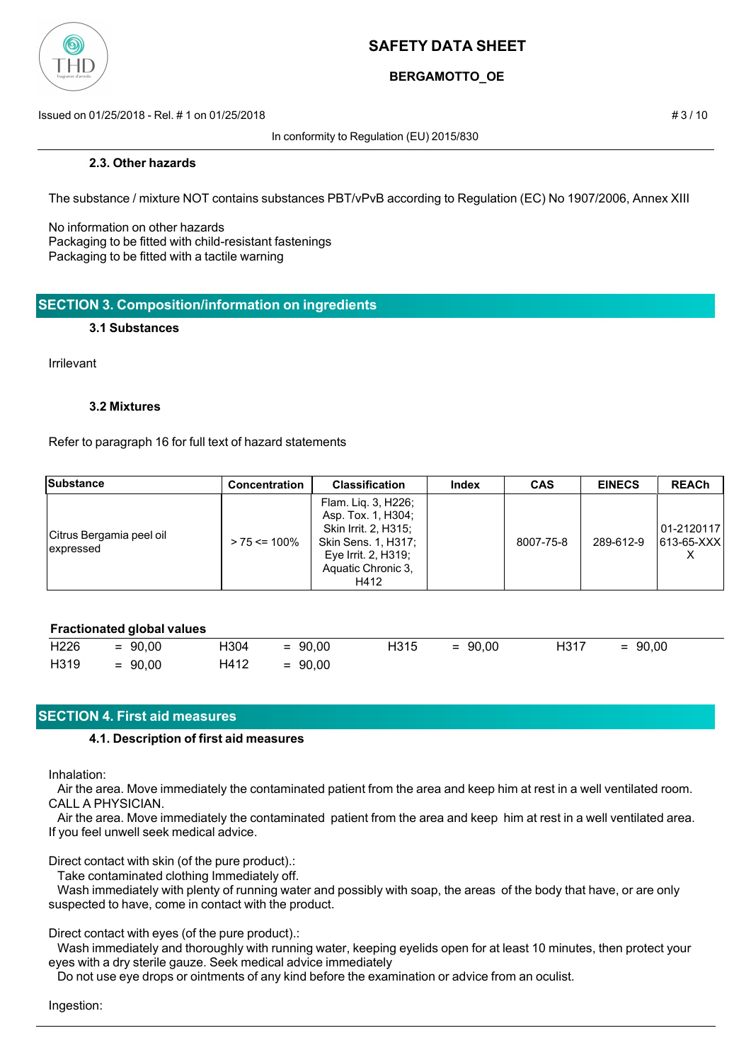

# **BERGAMOTTO\_OE**

Issued on 01/25/2018 - Rel. # 1 on 01/25/2018 # 3 / 10

In conformity to Regulation (EU) 2015/830

#### **2.3. Other hazards**

The substance / mixture NOT contains substances PBT/vPvB according to Regulation (EC) No 1907/2006, Annex XIII

No information on other hazards Packaging to be fitted with child-resistant fastenings Packaging to be fitted with a tactile warning

## **SECTION 3. Composition/information on ingredients**

#### **3.1 Substances**

Irrilevant

#### **3.2 Mixtures**

Refer to paragraph 16 for full text of hazard statements

| <b>Substance</b>                       | <b>Concentration</b> | <b>Classification</b>                                                                                                                         | Index | <b>CAS</b> | <b>EINECS</b> | <b>REACh</b>               |
|----------------------------------------|----------------------|-----------------------------------------------------------------------------------------------------------------------------------------------|-------|------------|---------------|----------------------------|
| Citrus Bergamia peel oil<br>lexpressed | $> 75 \le 100\%$     | Flam. Lig. 3, H226;<br>Asp. Tox. 1, H304;<br>Skin Irrit. 2, H315;<br>Skin Sens. 1, H317;<br>Eye Irrit. 2, H319;<br>Aquatic Chronic 3.<br>H412 |       | 8007-75-8  | 289-612-9     | 101-21201171<br>613-65-XXX |

## **Fractionated global values**

| H <sub>226</sub> | $= 90,00$ | H304 | $= 90,00$ | H315 | $= 90,00$ | H317 | $= 90,00$ |
|------------------|-----------|------|-----------|------|-----------|------|-----------|
| H319             | $= 90,00$ | H412 | $= 90,00$ |      |           |      |           |

## **SECTION 4. First aid measures**

#### **4.1. Description of first aid measures**

Inhalation:

 Air the area. Move immediately the contaminated patient from the area and keep him at rest in a well ventilated room. CALL A PHYSICIAN.

 Air the area. Move immediately the contaminated patient from the area and keep him at rest in a well ventilated area. If you feel unwell seek medical advice.

Direct contact with skin (of the pure product).:

Take contaminated clothing Immediately off.

 Wash immediately with plenty of running water and possibly with soap, the areas of the body that have, or are only suspected to have, come in contact with the product.

Direct contact with eyes (of the pure product).:

 Wash immediately and thoroughly with running water, keeping eyelids open for at least 10 minutes, then protect your eyes with a dry sterile gauze. Seek medical advice immediately

Do not use eye drops or ointments of any kind before the examination or advice from an oculist.

Ingestion: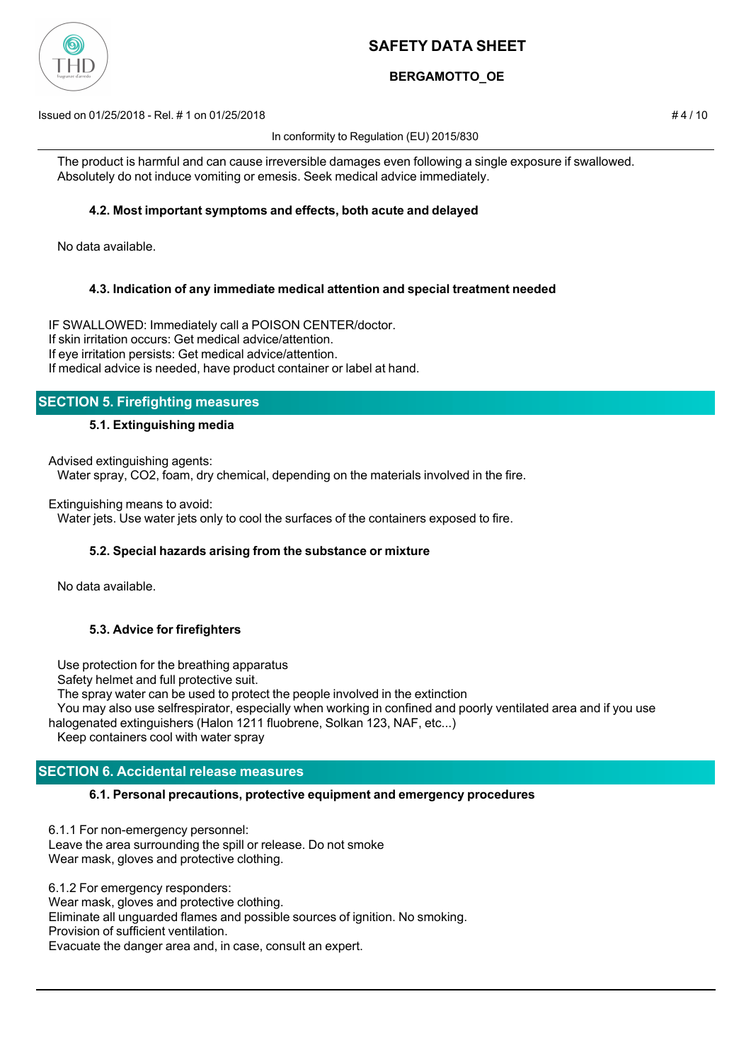

# **BERGAMOTTO\_OE**

Issued on 01/25/2018 - Rel. # 1 on 01/25/2018 # 4 / 10

In conformity to Regulation (EU) 2015/830

 The product is harmful and can cause irreversible damages even following a single exposure if swallowed. Absolutely do not induce vomiting or emesis. Seek medical advice immediately.

# **4.2. Most important symptoms and effects, both acute and delayed**

No data available.

# **4.3. Indication of any immediate medical attention and special treatment needed**

IF SWALLOWED: Immediately call a POISON CENTER/doctor. If skin irritation occurs: Get medical advice/attention. If eye irritation persists: Get medical advice/attention. If medical advice is needed, have product container or label at hand.

# **SECTION 5. Firefighting measures**

## **5.1. Extinguishing media**

Advised extinguishing agents:

Water spray, CO2, foam, dry chemical, depending on the materials involved in the fire.

Extinguishing means to avoid:

Water jets. Use water jets only to cool the surfaces of the containers exposed to fire.

## **5.2. Special hazards arising from the substance or mixture**

No data available.

## **5.3. Advice for firefighters**

Use protection for the breathing apparatus

Safety helmet and full protective suit.

The spray water can be used to protect the people involved in the extinction

 You may also use selfrespirator, especially when working in confined and poorly ventilated area and if you use halogenated extinguishers (Halon 1211 fluobrene, Solkan 123, NAF, etc...)

Keep containers cool with water spray

# **SECTION 6. Accidental release measures**

## **6.1. Personal precautions, protective equipment and emergency procedures**

6.1.1 For non-emergency personnel: Leave the area surrounding the spill or release. Do not smoke Wear mask, gloves and protective clothing.

6.1.2 For emergency responders: Wear mask, gloves and protective clothing. Eliminate all unguarded flames and possible sources of ignition. No smoking. Provision of sufficient ventilation. Evacuate the danger area and, in case, consult an expert.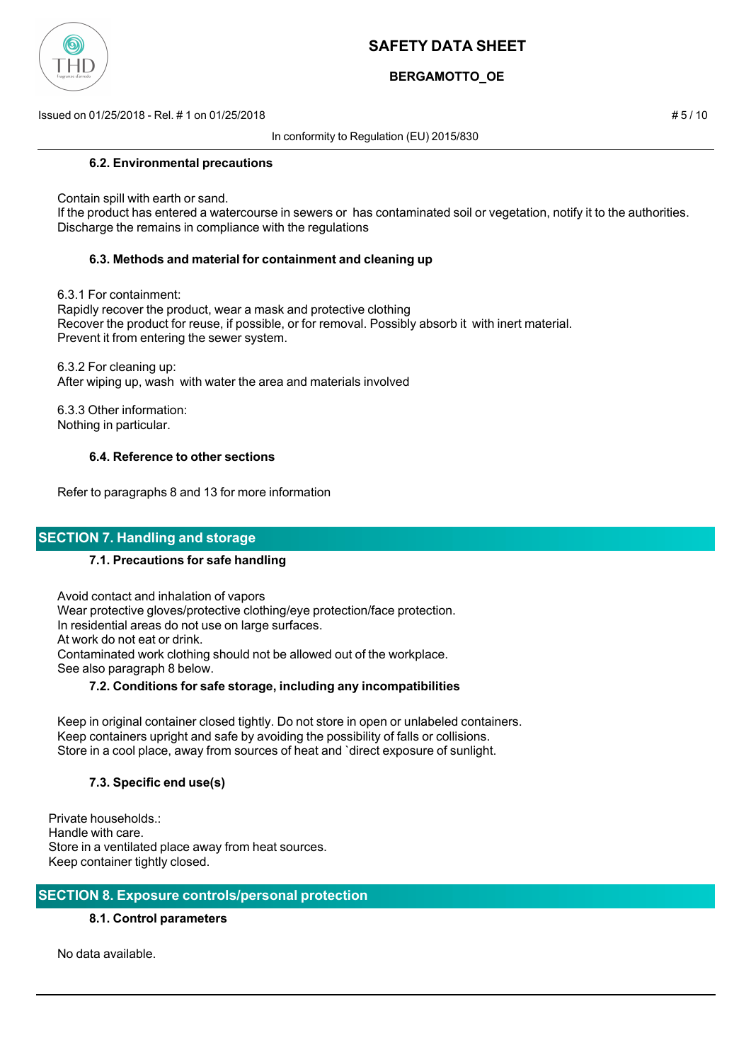

# **BERGAMOTTO\_OE**

Issued on 01/25/2018 - Rel. # 1 on 01/25/2018 # 5 / 10

In conformity to Regulation (EU) 2015/830

#### **6.2. Environmental precautions**

Contain spill with earth or sand.

 If the product has entered a watercourse in sewers or has contaminated soil or vegetation, notify it to the authorities. Discharge the remains in compliance with the regulations

## **6.3. Methods and material for containment and cleaning up**

6.3.1 For containment:

 Rapidly recover the product, wear a mask and protective clothing Recover the product for reuse, if possible, or for removal. Possibly absorb it with inert material. Prevent it from entering the sewer system.

 6.3.2 For cleaning up: After wiping up, wash with water the area and materials involved

 6.3.3 Other information: Nothing in particular.

## **6.4. Reference to other sections**

Refer to paragraphs 8 and 13 for more information

## **SECTION 7. Handling and storage**

## **7.1. Precautions for safe handling**

 Avoid contact and inhalation of vapors Wear protective gloves/protective clothing/eye protection/face protection. In residential areas do not use on large surfaces. At work do not eat or drink. Contaminated work clothing should not be allowed out of the workplace. See also paragraph 8 below.

## **7.2. Conditions for safe storage, including any incompatibilities**

 Keep in original container closed tightly. Do not store in open or unlabeled containers. Keep containers upright and safe by avoiding the possibility of falls or collisions. Store in a cool place, away from sources of heat and `direct exposure of sunlight.

## **7.3. Specific end use(s)**

Private households.: Handle with care. Store in a ventilated place away from heat sources. Keep container tightly closed.

## **SECTION 8. Exposure controls/personal protection**

## **8.1. Control parameters**

No data available.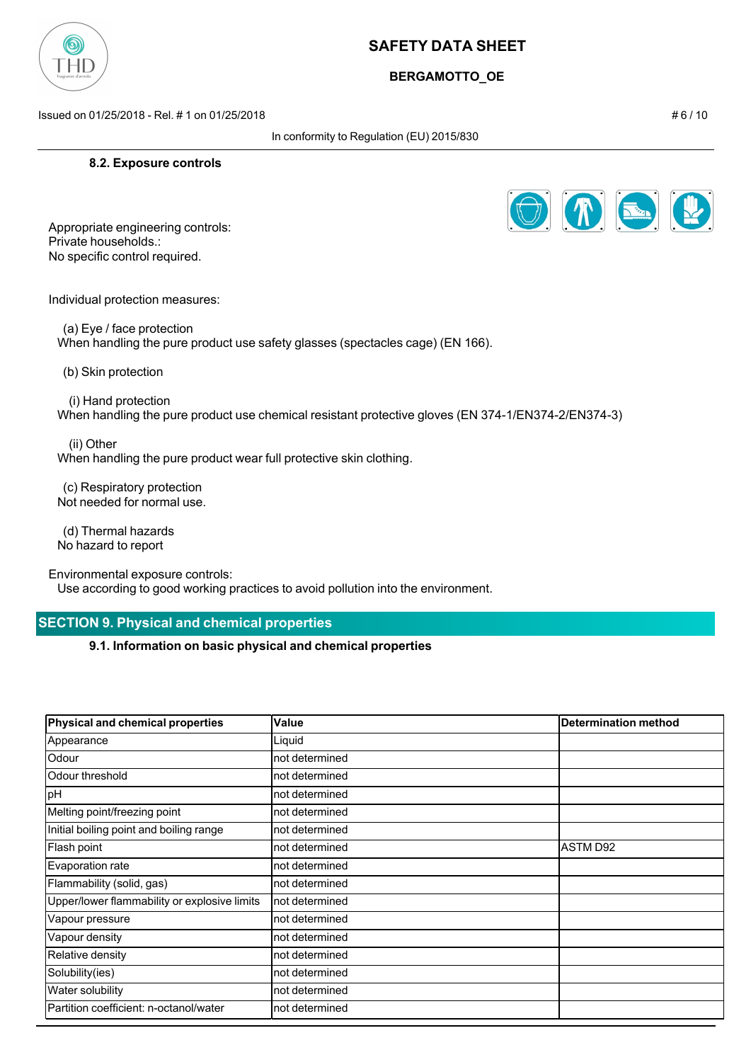

# **BERGAMOTTO\_OE**

Issued on 01/25/2018 - Rel. # 1 on 01/25/2018 # 6 / 10

In conformity to Regulation (EU) 2015/830

#### **8.2. Exposure controls**



Appropriate engineering controls: Private households.: No specific control required.

Individual protection measures:

 (a) Eye / face protection When handling the pure product use safety glasses (spectacles cage) (EN 166).

(b) Skin protection

 (i) Hand protection When handling the pure product use chemical resistant protective gloves (EN 374-1/EN374-2/EN374-3)

 (ii) Other When handling the pure product wear full protective skin clothing.

 (c) Respiratory protection Not needed for normal use.

 (d) Thermal hazards No hazard to report

Environmental exposure controls:

Use according to good working practices to avoid pollution into the environment.

# **SECTION 9. Physical and chemical properties**

**9.1. Information on basic physical and chemical properties**

| <b>Physical and chemical properties</b>      | Value          | <b>Determination method</b> |
|----------------------------------------------|----------------|-----------------------------|
| Appearance                                   | Liquid         |                             |
| Odour                                        | not determined |                             |
| Odour threshold                              | not determined |                             |
| pH                                           | not determined |                             |
| Melting point/freezing point                 | not determined |                             |
| Initial boiling point and boiling range      | not determined |                             |
| Flash point                                  | not determined | ASTM D92                    |
| <b>Evaporation rate</b>                      | not determined |                             |
| Flammability (solid, gas)                    | not determined |                             |
| Upper/lower flammability or explosive limits | not determined |                             |
| Vapour pressure                              | not determined |                             |
| Vapour density                               | not determined |                             |
| Relative density                             | not determined |                             |
| Solubility(ies)                              | not determined |                             |
| Water solubility                             | not determined |                             |
| Partition coefficient: n-octanol/water       | not determined |                             |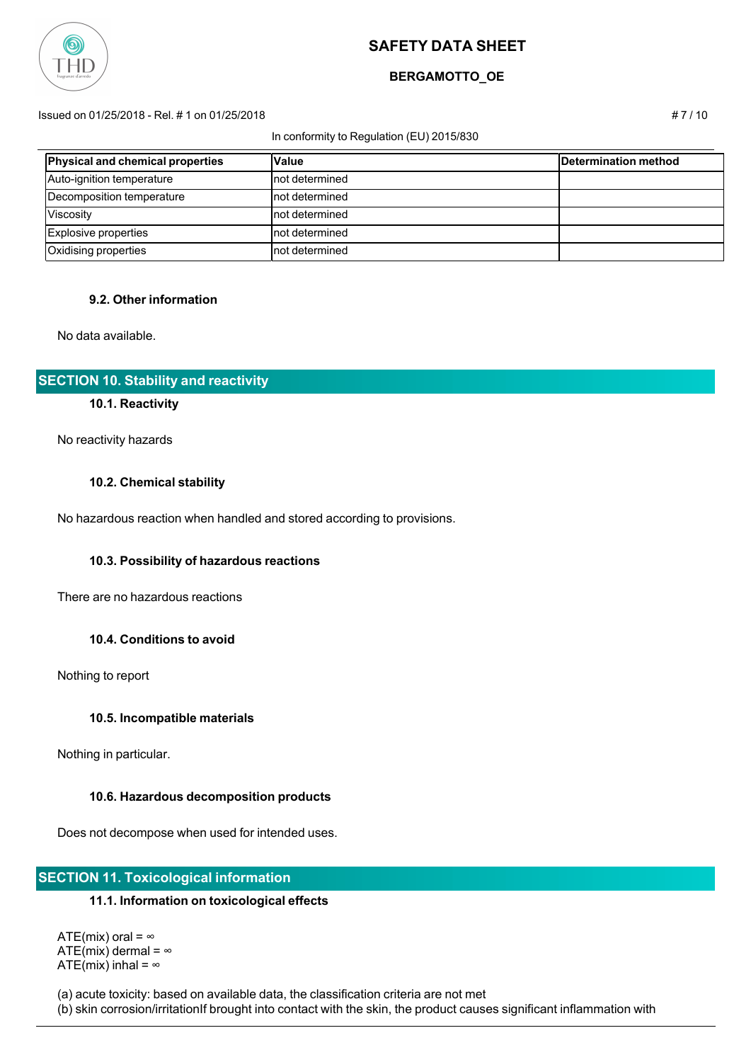

# **BERGAMOTTO\_OE**

#### Issued on 01/25/2018 - Rel. # 1 on 01/25/2018 # 7 / 10

In conformity to Regulation (EU) 2015/830

| <b>Physical and chemical properties</b> | <b>Value</b>    | Determination method |
|-----------------------------------------|-----------------|----------------------|
| Auto-ignition temperature               | Inot determined |                      |
| Decomposition temperature               | Inot determined |                      |
| Viscosity                               | Inot determined |                      |
| Explosive properties                    | Inot determined |                      |
| <b>Oxidising properties</b>             | Inot determined |                      |

## **9.2. Other information**

No data available.

# **SECTION 10. Stability and reactivity**

#### **10.1. Reactivity**

No reactivity hazards

#### **10.2. Chemical stability**

No hazardous reaction when handled and stored according to provisions.

#### **10.3. Possibility of hazardous reactions**

There are no hazardous reactions

#### **10.4. Conditions to avoid**

Nothing to report

#### **10.5. Incompatible materials**

Nothing in particular.

#### **10.6. Hazardous decomposition products**

Does not decompose when used for intended uses.

# **SECTION 11. Toxicological information**

#### **11.1. Information on toxicological effects**

ATE(mix) oral =  $\infty$ ATE(mix) dermal =  $\infty$ ATE(mix) inhal =  $\infty$ 

(a) acute toxicity: based on available data, the classification criteria are not met

(b) skin corrosion/irritationIf brought into contact with the skin, the product causes significant inflammation with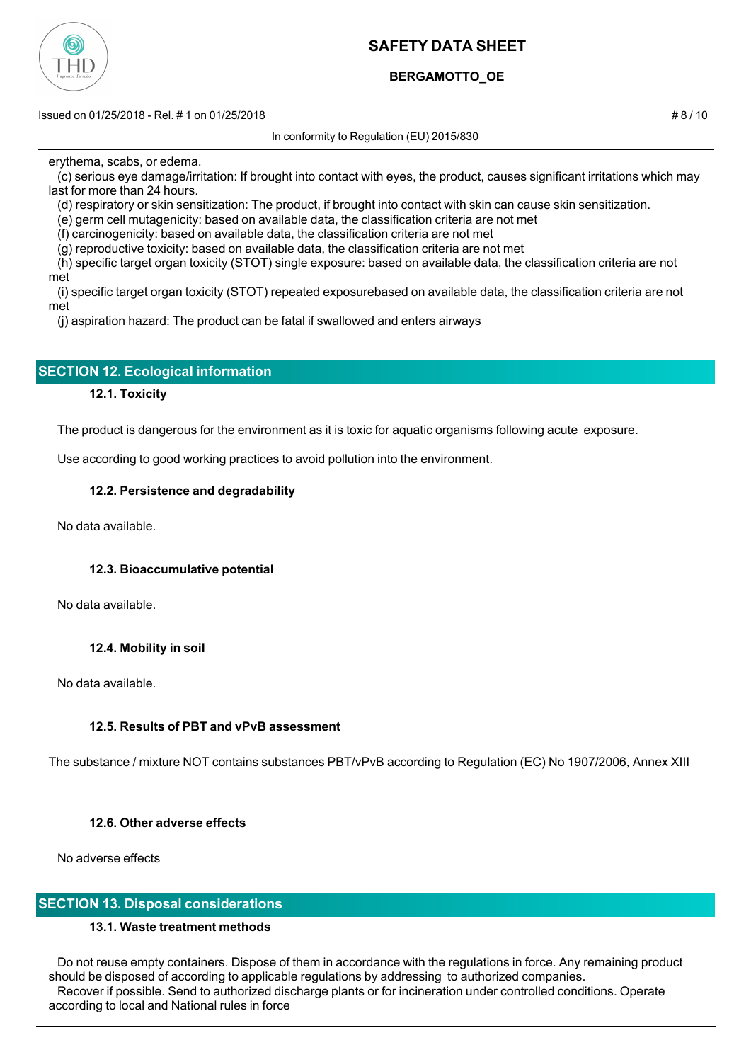

# **BERGAMOTTO\_OE**

Issued on 01/25/2018 - Rel. # 1 on 01/25/2018 # 8 / 10

In conformity to Regulation (EU) 2015/830

erythema, scabs, or edema.

 (c) serious eye damage/irritation: If brought into contact with eyes, the product, causes significant irritations which may last for more than 24 hours.

(d) respiratory or skin sensitization: The product, if brought into contact with skin can cause skin sensitization.

(e) germ cell mutagenicity: based on available data, the classification criteria are not met

(f) carcinogenicity: based on available data, the classification criteria are not met

(g) reproductive toxicity: based on available data, the classification criteria are not met

 (h) specific target organ toxicity (STOT) single exposure: based on available data, the classification criteria are not met

 (i) specific target organ toxicity (STOT) repeated exposurebased on available data, the classification criteria are not met

(j) aspiration hazard: The product can be fatal if swallowed and enters airways

# **SECTION 12. Ecological information**

# **12.1. Toxicity**

The product is dangerous for the environment as it is toxic for aquatic organisms following acute exposure.

Use according to good working practices to avoid pollution into the environment.

## **12.2. Persistence and degradability**

No data available.

## **12.3. Bioaccumulative potential**

No data available.

## **12.4. Mobility in soil**

No data available.

## **12.5. Results of PBT and vPvB assessment**

The substance / mixture NOT contains substances PBT/vPvB according to Regulation (EC) No 1907/2006, Annex XIII

## **12.6. Other adverse effects**

No adverse effects

## **SECTION 13. Disposal considerations**

## **13.1. Waste treatment methods**

 Do not reuse empty containers. Dispose of them in accordance with the regulations in force. Any remaining product should be disposed of according to applicable regulations by addressing to authorized companies. Recover if possible. Send to authorized discharge plants or for incineration under controlled conditions. Operate according to local and National rules in force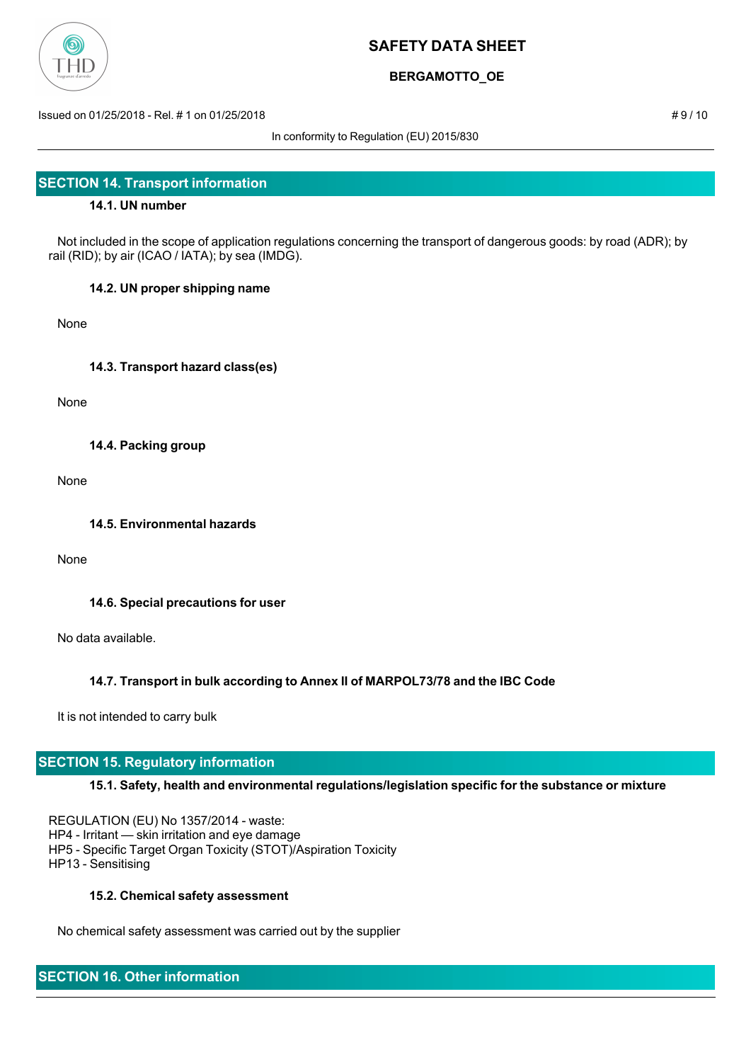

# **BERGAMOTTO\_OE**

Issued on 01/25/2018 - Rel. # 1 on 01/25/2018 # 9 / 10

In conformity to Regulation (EU) 2015/830

# **SECTION 14. Transport information**

#### **14.1. UN number**

 Not included in the scope of application regulations concerning the transport of dangerous goods: by road (ADR); by rail (RID); by air (ICAO / IATA); by sea (IMDG).

#### **14.2. UN proper shipping name**

None

**14.3. Transport hazard class(es)**

None

**14.4. Packing group**

None

**14.5. Environmental hazards**

None

**14.6. Special precautions for user**

No data available.

## **14.7. Transport in bulk according to Annex II of MARPOL73/78 and the IBC Code**

It is not intended to carry bulk

# **SECTION 15. Regulatory information**

## **15.1. Safety, health and environmental regulations/legislation specific for the substance or mixture**

REGULATION (EU) No 1357/2014 - waste: HP4 - Irritant — skin irritation and eye damage HP5 - Specific Target Organ Toxicity (STOT)/Aspiration Toxicity HP13 - Sensitising

#### **15.2. Chemical safety assessment**

No chemical safety assessment was carried out by the supplier

# **SECTION 16. Other information**